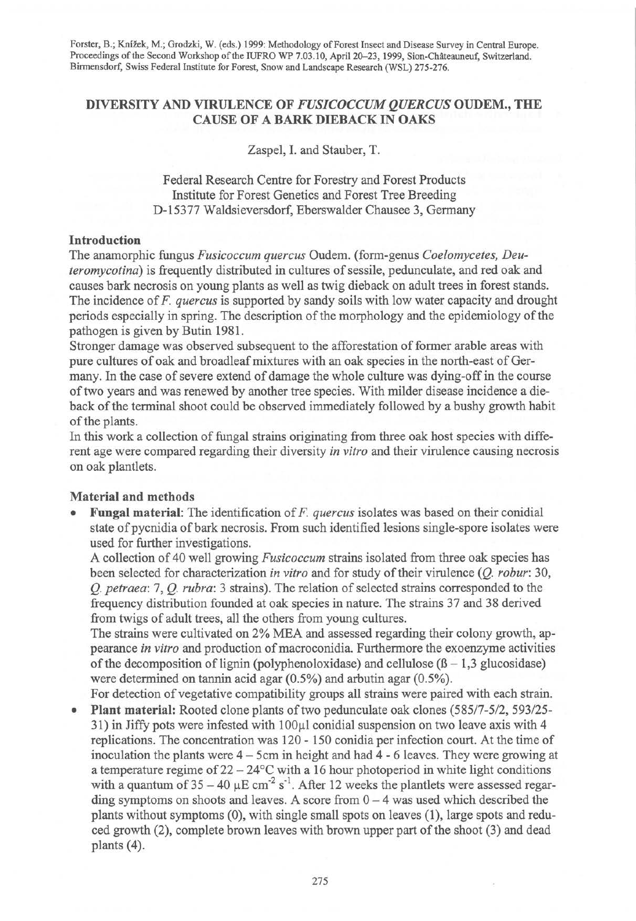Forster, B.; Knizek, M.; Grodzki, W. (eds.) 1999: Methodology of Forest Insect and Disease Survey in Central Europe. Proceedings of the Second Workshop of the IUFRO WP 7.03.10, April 20-23, 1999, Sion-Châteauneuf, Switzerland. Birmensdorf, Swiss Federal Institute for Forest, Snow and Landscape Research (WSL) 275-276.

# DIVERSITY AND VIRULENCE OF *FUSICOCCUM QUERCUS* OUDEM., THE CAUSE OF A BARK DIEBACK IN OAKS

Zaspel, I. and Stauber, T.

Federal Research Centre for Forestry and Forest Products Institute for Forest Genetics and Forest Tree Breeding D-15377 Waldsieversdorf, Eberswalder Chausee 3, Germany

#### Introduction

The anamorphic fungus *Fusicoccum quercus* Oudem. (form-genus *Coelomycetes, Deuteromycotina)* is frequently distributed in cultures of sessile, pedunculate, and red oak and causes bark necrosis on young plants as well as twig dieback on adult trees in forest stands. The incidence of *F. quercus* is supported by sandy soils with low water capacity and drought periods especially in spring. The description of the morphology and the epidemiology of the pathogen is given by Butin 1981.

Stronger damage was observed subsequent to the afforestation of former arable areas with pure cultures of oak and broadleaf mixtures with an oak species in the north-east of Germany. In the case of severe extend of damage the whole culture was dying-off in the course of two years and was renewed by another tree species. With milder disease incidence a dieback of the terminal shoot could be observed immediately followed by a bushy growth habit of the plants.

In this work a collection of fungal strains originating from three oak host species with different age were compared regarding their diversity *in vitro* and their virulence causing necrosis on oak plantlets.

# Material and methods

• Fungal material: The identification of *F. quercus* isolates was based on their conidial state of pycnidia of bark necrosis. From such identified lesions single-spore isolates were used for further investigations.

A collection of 40 well growing *Fusicoccum* strains isolated from three oak species has been selected for characterization *in vitro* and for study of their virulence (Q. *robur:* 30, *Q. petraea:* 7, *Q. rubra:* 3 strains). The relation of selected strains corresponded to the frequency distribution founded at oak species in nature. The strains 37 and 38 derived from twigs of adult trees, all the others from young cultures.

The strains were cultivated on 2% MEA and assessed regarding their colony growth, appearance *in vitro* and production of macroconidia. Furthermore the exoenzyme activities of the decomposition of lignin (polyphenoloxidase) and cellulose  $(\beta - 1, 3$  glucosidase) were determined on tannin acid agar (0.5%) and arbutin agar (0.5%).

For detection of vegetative compatibility groups all strains were paired with each strain. • Plant material: Rooted clone plants of two pedunculate oak clones (585/7-5/2, 593/25-  $31$ ) in Jiffy pots were infested with  $100\mu$ l conidial suspension on two leave axis with 4 replications. The concentration was 120- 150 conidia per infection court. At the time of inoculation the plants were 4 - 5cm in height and had 4 - 6 leaves. They were growing at a temperature regime of  $22 - 24$ °C with a 16 hour photoperiod in white light conditions with a quantum of  $35-40 \mu E \text{ cm}^{-2} \text{ s}^{-1}$ . After 12 weeks the plantlets were assessed regarding symptoms on shoots and leaves. A score from  $0 - 4$  was used which described the plants without symptoms (0), with single small spots on leaves (1), large spots and reduced growth (2), complete brown leaves with brown upper part of the shoot (3) and dead plants (4).